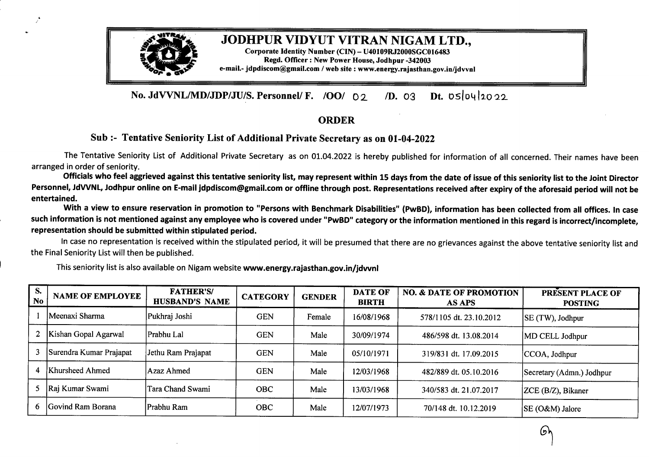

## JODHPUR VIDYUT VITRAN NIGAM LTD.,

Corporate Identity Number (CIN) - U40109RJ2000SGC016483 Regd. Officer : New Power House,Jodhpur-342003 e-mail.- jdpdiscom@gmail.com / web site : www.energy.rajasthan.gov.in/jdvvnl

**No. JdVVNL/MD/JDP/JU/S. Personnel/ F. /00/** <sup>O</sup> 2. */D. 03 Dt. 05/04/2022* 

## **ORDER**

## **Sub** :- Tentative Seniority List of Additional Private Secretary as on 01-04-2022

The Tentative Seniority List of Additional Private Secretary as on 01.04.2022 is hereby published for information of all concerned. Their names have been arranged in order of seniority.

Officials who feel aggrieved against this tentative seniority list, may represent within 15 days from the date of issue of this seniority list to the Joint Director Personnel, JdVVNL, Jodhpur online on E-mail jdpdiscom@gmail.com or offline through post. Representations received after expiry of the aforesaid period will not be **entertained.**

With <sup>a</sup> view to ensure reservation in promotion to "Persons with Benchmark Disabilities" **(PwBD),** information has been collected from all offices. In case such information is not mentioned against any employee who is covered under "PwBD" category or the information mentioned in this regard is incorrect/incomplete, **representation should be submitted within stipulated period.**

In case no representation is received within the stipulated period, it will be presumed that there are no grievances against the above tentative seniority list and the Final Seniority List will then be published.

| S.<br>No | <b>NAME OF EMPLOYEE</b> | <b>FATHER'S/</b><br><b>HUSBAND'S NAME</b> | <b>CATEGORY</b> | <b>GENDER</b> | <b>DATE OF</b><br><b>BIRTH</b> | <b>NO. &amp; DATE OF PROMOTION</b><br><b>AS APS</b> | PRESENT PLACE OF<br><b>POSTING</b> |
|----------|-------------------------|-------------------------------------------|-----------------|---------------|--------------------------------|-----------------------------------------------------|------------------------------------|
|          | Meenaxi Sharma          | Pukhraj Joshi                             | <b>GEN</b>      | Female        | 16/08/1968                     | 578/1105 dt. 23.10.2012                             | SE(TW), Jodhpur                    |
|          | Kishan Gopal Agarwal    | Prabhu Lal                                | <b>GEN</b>      | Male          | 30/09/1974                     | 486/598 dt. 13.08.2014                              | MD CELL Jodhpur                    |
| 3        | Surendra Kumar Prajapat | Jethu Ram Prajapat                        | <b>GEN</b>      | Male          | 05/10/1971                     | 319/831 dt. 17.09.2015                              | CCOA, Jodhpur                      |
| 4        | Khursheed Ahmed         | Azaz Ahmed                                | <b>GEN</b>      | Male          | 12/03/1968                     | 482/889 dt. 05.10.2016                              | Secretary (Admn.) Jodhpur          |
|          | 5 Raj Kumar Swami       | Tara Chand Swami                          | <b>OBC</b>      | Male          | 13/03/1968                     | 340/583 dt. 21.07.2017                              | ZCE (B/Z), Bikaner                 |
|          | 6 Govind Ram Borana     | Prabhu Ram                                | <b>OBC</b>      | Male          | 12/07/1973                     | 70/148 dt. 10.12.2019                               | SE (O&M) Jalore                    |

This seniority list is also available on Nigam website **www.energy.rajasthan.gov.in/jdvvnl**